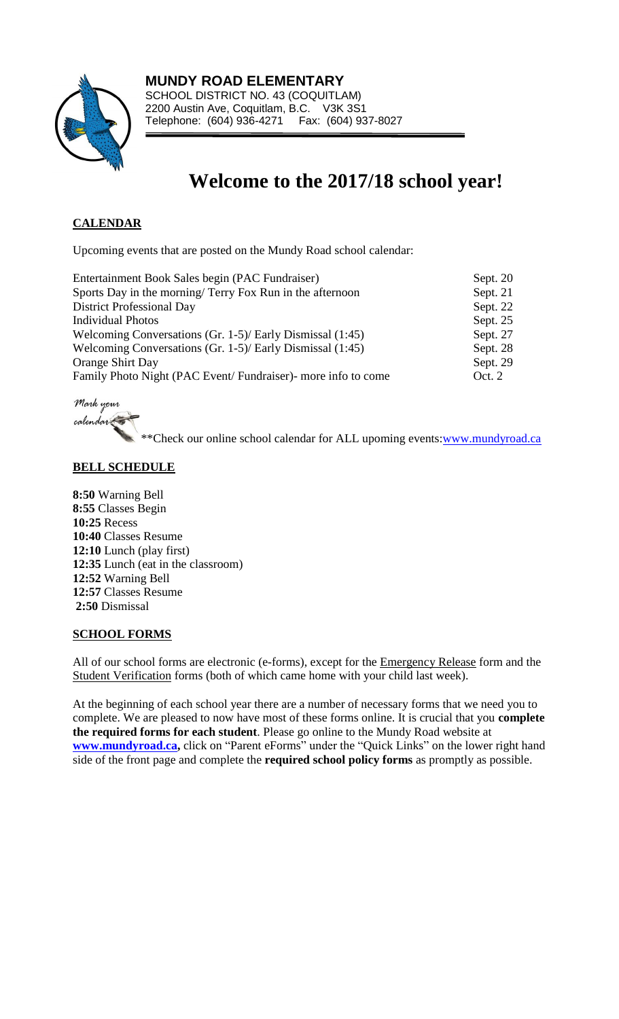

# **Welcome to the 2017/18 school year!**

# **CALENDAR**

Upcoming events that are posted on the Mundy Road school calendar:

| Sept. 21 |
|----------|
| Sept. 22 |
| Sept. 25 |
| Sept. 27 |
| Sept. 28 |
| Sept. 29 |
| Oct. 2   |
|          |

Mark your calendar

\*\*Check our online school calendar for ALL upoming events[:www.mundyroad.ca](http://www.mundyroad.ca/)

## **BELL SCHEDULE**

**8:50** Warning Bell **8:55** Classes Begin **10:25** Recess **10:40** Classes Resume **12:10** Lunch (play first) **12:35** Lunch (eat in the classroom) **12:52** Warning Bell **12:57** Classes Resume **2:50** Dismissal

## **SCHOOL FORMS**

All of our school forms are electronic (e-forms), except for the Emergency Release form and the Student Verification forms (both of which came home with your child last week).

At the beginning of each school year there are a number of necessary forms that we need you to complete. We are pleased to now have most of these forms online. It is crucial that you **complete the required forms for each student**. Please go online to the Mundy Road website at **[www.m](https://webmail.sd43.bc.ca/OWA/redir.aspx?C=-Ro4tGebEkSHgd8YzasP1EKlKUQBxdFIx3bARkDt20MBpdtcaUuFH0gFRrr43OYVZG95aju6vGQ.&URL=http%3a%2f%2fwww.)undyroad.ca,** click on "Parent eForms" under the "Quick Links" on the lower right hand side of the front page and complete the **required school policy forms** as promptly as possible.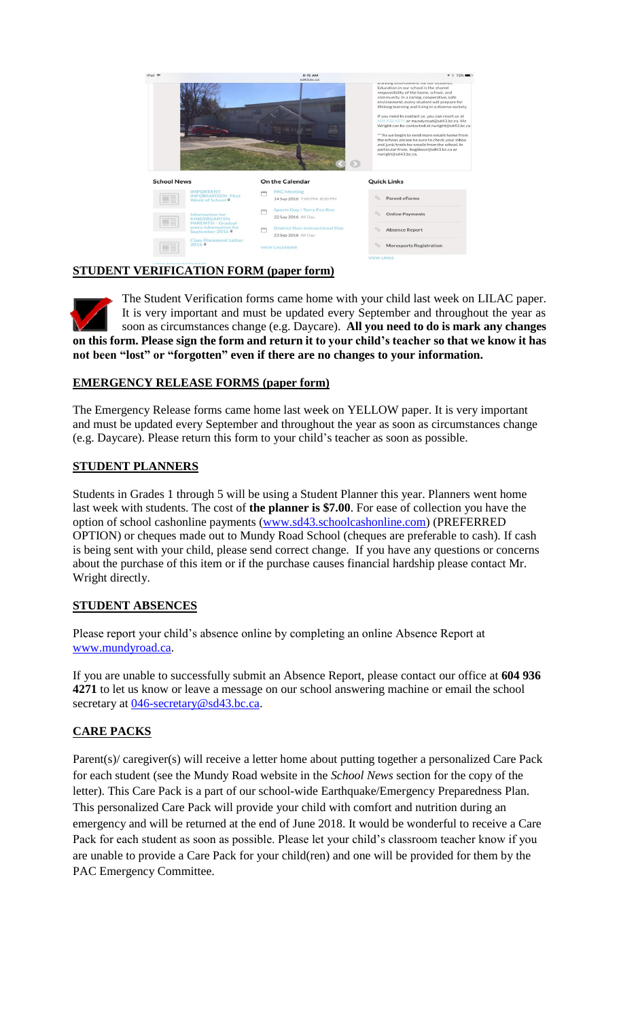

# **STUDENT VERIFICATION FORM (paper form)**

The Student Verification forms came home with your child last week on LILAC paper. It is very important and must be updated every September and throughout the year as soon as circumstances change (e.g. Daycare). **All you need to do is mark any changes on this form. Please sign the form and return it to your child's teacher so that we know it has not been "lost" or "forgotten" even if there are no changes to your information.** 

## **EMERGENCY RELEASE FORMS (paper form)**

The Emergency Release forms came home last week on YELLOW paper. It is very important and must be updated every September and throughout the year as soon as circumstances change (e.g. Daycare). Please return this form to your child's teacher as soon as possible.

## **STUDENT PLANNERS**

Students in Grades 1 through 5 will be using a Student Planner this year. Planners went home last week with students. The cost of **the planner is \$7.00**. For ease of collection you have the option of school cashonline payments [\(www.sd43.schoolcashonline.com\)](http://www.sd43.schoolcashonline.com/) (PREFERRED OPTION) or cheques made out to Mundy Road School (cheques are preferable to cash). If cash is being sent with your child, please send correct change. If you have any questions or concerns about the purchase of this item or if the purchase causes financial hardship please contact Mr. Wright directly.

# **STUDENT ABSENCES**

Please report your child's absence online by completing an online Absence Report at [www.mundyroad.ca.](http://www.mundyroad.ca/)

If you are unable to successfully submit an Absence Report, please contact our office at **604 936 4271** to let us know or leave a message on our school answering machine or email the school secretary at [046-secretary@sd43.bc.ca.](mailto:046-secretary@sd43.bc.ca)

# **CARE PACKS**

Parent(s)/ caregiver(s) will receive a letter home about putting together a personalized Care Pack for each student (see the Mundy Road website in the *School News* section for the copy of the letter). This Care Pack is a part of our school-wide Earthquake/Emergency Preparedness Plan. This personalized Care Pack will provide your child with comfort and nutrition during an emergency and will be returned at the end of June 2018. It would be wonderful to receive a Care Pack for each student as soon as possible. Please let your child's classroom teacher know if you are unable to provide a Care Pack for your child(ren) and one will be provided for them by the PAC Emergency Committee.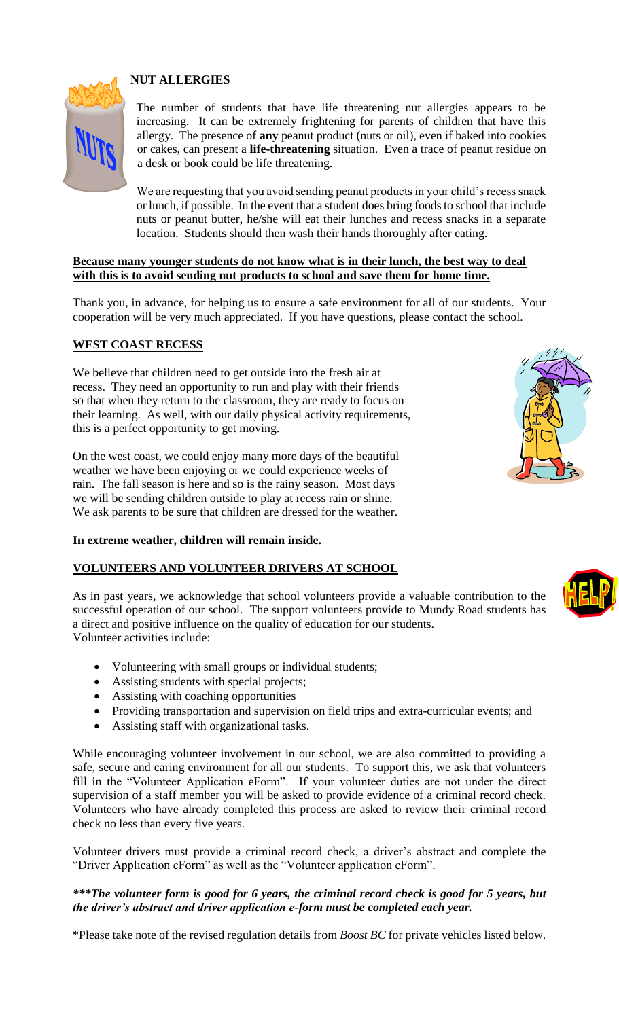# **NUT ALLERGIES**



The number of students that have life threatening nut allergies appears to be increasing. It can be extremely frightening for parents of children that have this allergy. The presence of **any** peanut product (nuts or oil), even if baked into cookies or cakes, can present a **life-threatening** situation. Even a trace of peanut residue on a desk or book could be life threatening.

We are requesting that you avoid sending peanut products in your child's recess snack or lunch, if possible. In the event that a student does bring foods to school that include nuts or peanut butter, he/she will eat their lunches and recess snacks in a separate location. Students should then wash their hands thoroughly after eating.

#### **Because many younger students do not know what is in their lunch, the best way to deal with this is to avoid sending nut products to school and save them for home time.**

Thank you, in advance, for helping us to ensure a safe environment for all of our students. Your cooperation will be very much appreciated. If you have questions, please contact the school.

## **WEST COAST RECESS**

We believe that children need to get outside into the fresh air at recess. They need an opportunity to run and play with their friends so that when they return to the classroom, they are ready to focus on their learning. As well, with our daily physical activity requirements, this is a perfect opportunity to get moving.

On the west coast, we could enjoy many more days of the beautiful weather we have been enjoying or we could experience weeks of rain. The fall season is here and so is the rainy season. Most days we will be sending children outside to play at recess rain or shine. We ask parents to be sure that children are dressed for the weather.

#### **In extreme weather, children will remain inside.**

#### **VOLUNTEERS AND VOLUNTEER DRIVERS AT SCHOOL**

As in past years, we acknowledge that school volunteers provide a valuable contribution to the successful operation of our school. The support volunteers provide to Mundy Road students has a direct and positive influence on the quality of education for our students. Volunteer activities include:

- Volunteering with small groups or individual students;
- Assisting students with special projects;
- Assisting with coaching opportunities
- Providing transportation and supervision on field trips and extra-curricular events; and
- Assisting staff with organizational tasks.

While encouraging volunteer involvement in our school, we are also committed to providing a safe, secure and caring environment for all our students. To support this, we ask that volunteers fill in the "Volunteer Application eForm". If your volunteer duties are not under the direct supervision of a staff member you will be asked to provide evidence of a criminal record check. Volunteers who have already completed this process are asked to review their criminal record check no less than every five years.

Volunteer drivers must provide a criminal record check, a driver's abstract and complete the "Driver Application eForm" as well as the "Volunteer application eForm".

#### *\*\*\*The volunteer form is good for 6 years, the criminal record check is good for 5 years, but the driver's abstract and driver application e-form must be completed each year.*

\*Please take note of the revised regulation details from *Boost BC* for private vehicles listed below.



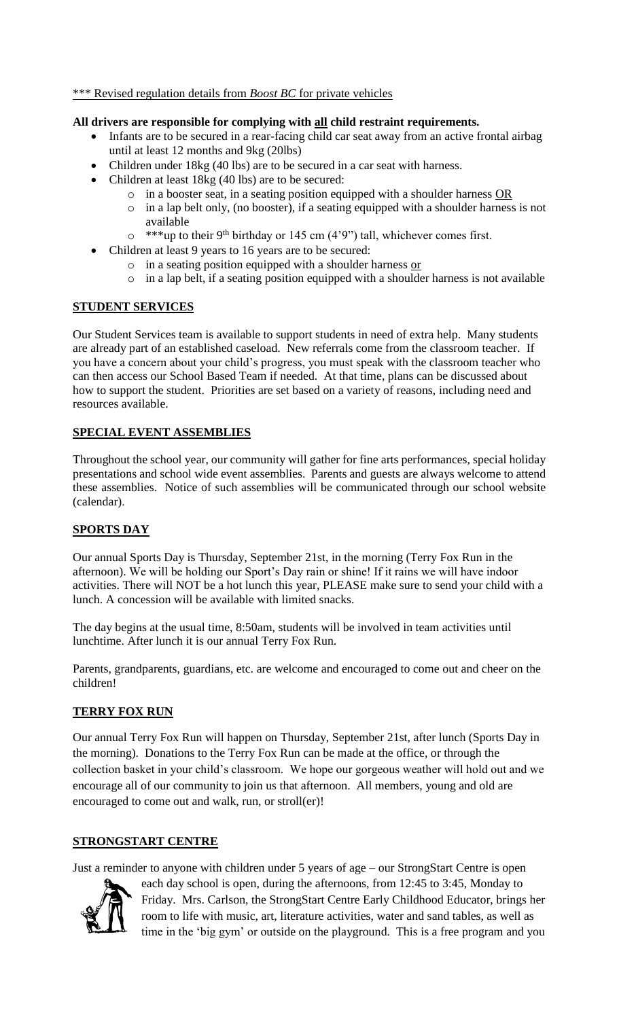#### \*\*\* Revised regulation details from *Boost BC* for private vehicles

#### **All drivers are responsible for complying with all child restraint requirements.**

- Infants are to be secured in a rear-facing child car seat away from an active frontal airbag until at least 12 months and 9kg (20lbs)
- Children under 18kg (40 lbs) are to be secured in a car seat with harness.
- Children at least 18kg (40 lbs) are to be secured:
	- $\circ$  in a booster seat, in a seating position equipped with a shoulder harness OR
	- o in a lap belt only, (no booster), if a seating equipped with a shoulder harness is not available
	- $\circ$  \*\*\*up to their 9<sup>th</sup> birthday or 145 cm (4'9") tall, whichever comes first.
- Children at least 9 years to 16 years are to be secured:
	- o in a seating position equipped with a shoulder harness or
	- o in a lap belt, if a seating position equipped with a shoulder harness is not available

#### **STUDENT SERVICES**

Our Student Services team is available to support students in need of extra help. Many students are already part of an established caseload. New referrals come from the classroom teacher. If you have a concern about your child's progress, you must speak with the classroom teacher who can then access our School Based Team if needed. At that time, plans can be discussed about how to support the student. Priorities are set based on a variety of reasons, including need and resources available.

## **SPECIAL EVENT ASSEMBLIES**

Throughout the school year, our community will gather for fine arts performances, special holiday presentations and school wide event assemblies. Parents and guests are always welcome to attend these assemblies. Notice of such assemblies will be communicated through our school website (calendar).

## **SPORTS DAY**

Our annual Sports Day is Thursday, September 21st, in the morning (Terry Fox Run in the afternoon). We will be holding our Sport's Day rain or shine! If it rains we will have indoor activities. There will NOT be a hot lunch this year, PLEASE make sure to send your child with a lunch. A concession will be available with limited snacks.

The day begins at the usual time, 8:50am, students will be involved in team activities until lunchtime. After lunch it is our annual Terry Fox Run.

Parents, grandparents, guardians, etc. are welcome and encouraged to come out and cheer on the children!

## **TERRY FOX RUN**

Our annual Terry Fox Run will happen on Thursday, September 21st, after lunch (Sports Day in the morning). Donations to the Terry Fox Run can be made at the office, or through the collection basket in your child's classroom. We hope our gorgeous weather will hold out and we encourage all of our community to join us that afternoon. All members, young and old are encouraged to come out and walk, run, or stroll(er)!

#### **STRONGSTART CENTRE**

Just a reminder to anyone with children under 5 years of age – our StrongStart Centre is open



each day school is open, during the afternoons, from 12:45 to 3:45, Monday to Friday. Mrs. Carlson, the StrongStart Centre Early Childhood Educator, brings her room to life with music, art, literature activities, water and sand tables, as well as time in the 'big gym' or outside on the playground. This is a free program and you